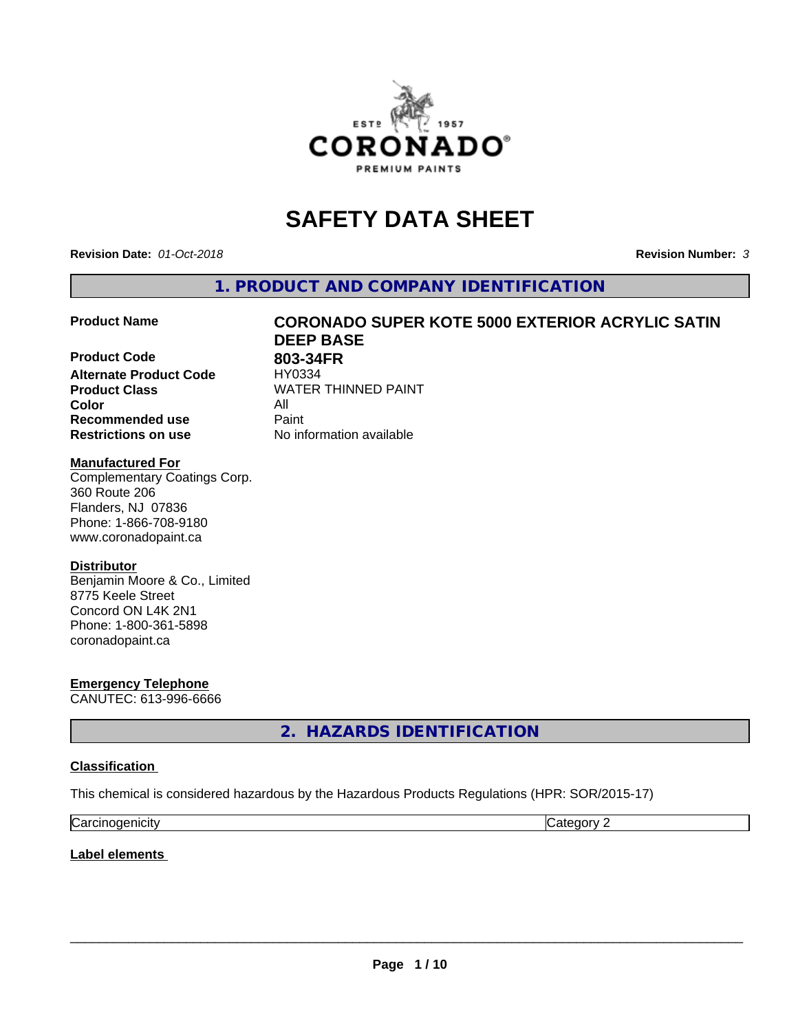

# **SAFETY DATA SHEET**

**Revision Date:** *01-Oct-2018* **Revision Number:** *3*

**1. PRODUCT AND COMPANY IDENTIFICATION**

**Product Code 803-34FR**<br>**Alternate Product Code HY0334 Alternate Product Code Product Class WATER THINNED PAINT Color** All **Recommended use Caint Restrictions on use** No information available

# **Product Name CORONADO SUPER KOTE 5000 EXTERIOR ACRYLIC SATIN DEEP BASE**

### **Manufactured For**

Complementary Coatings Corp. 360 Route 206 Flanders, NJ 07836 Phone: 1-866-708-9180 www.coronadopaint.ca

### **Distributor**

Benjamin Moore & Co., Limited 8775 Keele Street Concord ON L4K 2N1 Phone: 1-800-361-5898 coronadopaint.ca

**Emergency Telephone** CANUTEC: 613-996-6666

**2. HAZARDS IDENTIFICATION**

### **Classification**

This chemical is considered hazardous by the Hazardous Products Regulations (HPR: SOR/2015-17)

| $\sim$   | $\sim$ |
|----------|--------|
| enicity: | .      |
| Ndi      | . .    |

**Label elements**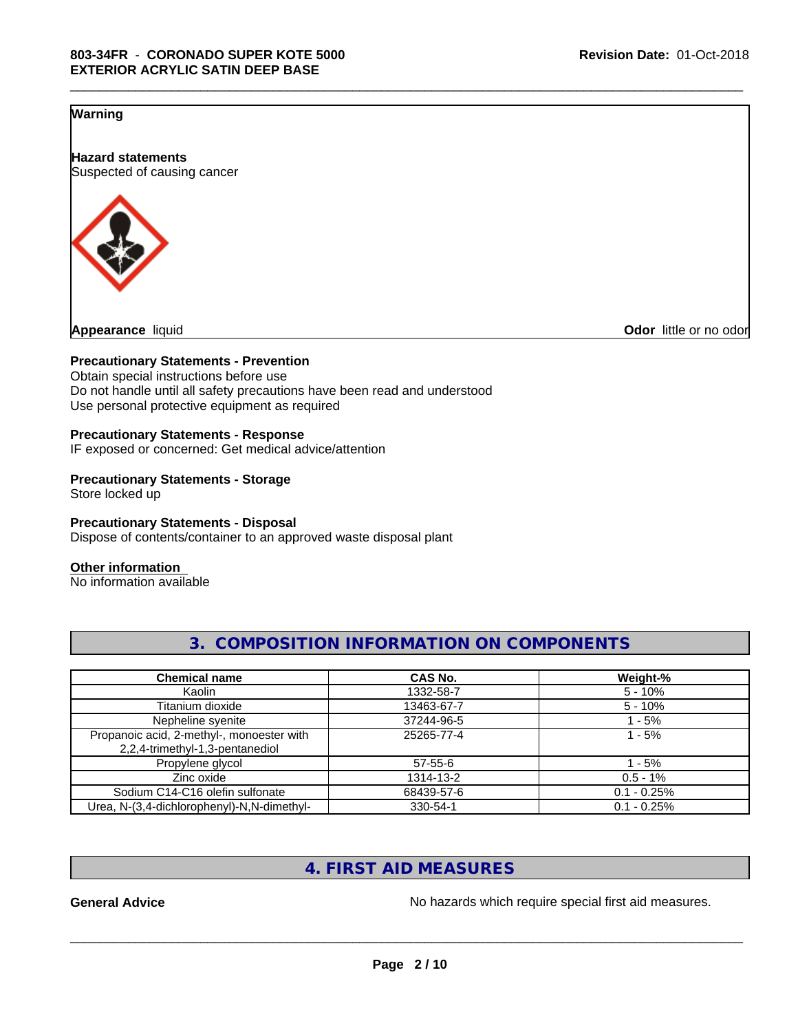### **Warning**

**Hazard statements** Suspected of causing cancer



**Odor** little or no odor

### **Precautionary Statements - Prevention**

Obtain special instructions before use Do not handle until all safety precautions have been read and understood Use personal protective equipment as required

### **Precautionary Statements - Response**

IF exposed or concerned: Get medical advice/attention

# **Precautionary Statements - Storage**

Store locked up

### **Precautionary Statements - Disposal**

Dispose of contents/container to an approved waste disposal plant

### **Other information**

No information available

| <b>Chemical name</b>                       | CAS No.    | Weight-%      |
|--------------------------------------------|------------|---------------|
| Kaolin                                     | 1332-58-7  | $5 - 10%$     |
| Titanium dioxide                           | 13463-67-7 | $5 - 10\%$    |
| Nepheline syenite                          | 37244-96-5 | - 5%          |
| Propanoic acid, 2-methyl-, monoester with  | 25265-77-4 | l - 5%        |
| 2,2,4-trimethyl-1,3-pentanediol            |            |               |
| Propylene glycol                           | 57-55-6    | - 5%          |
| Zinc oxide                                 | 1314-13-2  | $0.5 - 1\%$   |
| Sodium C14-C16 olefin sulfonate            | 68439-57-6 | $0.1 - 0.25%$ |
| Urea, N-(3,4-dichlorophenyl)-N,N-dimethyl- | 330-54-1   | $0.1 - 0.25%$ |

# **3. COMPOSITION INFORMATION ON COMPONENTS**

\_\_\_\_\_\_\_\_\_\_\_\_\_\_\_\_\_\_\_\_\_\_\_\_\_\_\_\_\_\_\_\_\_\_\_\_\_\_\_\_\_\_\_\_\_\_\_\_\_\_\_\_\_\_\_\_\_\_\_\_\_\_\_\_\_\_\_\_\_\_\_\_\_\_\_\_\_\_\_\_\_\_\_\_\_\_\_\_\_\_\_\_\_

# **4. FIRST AID MEASURES**

General Advice **General Advice No hazards** which require special first aid measures.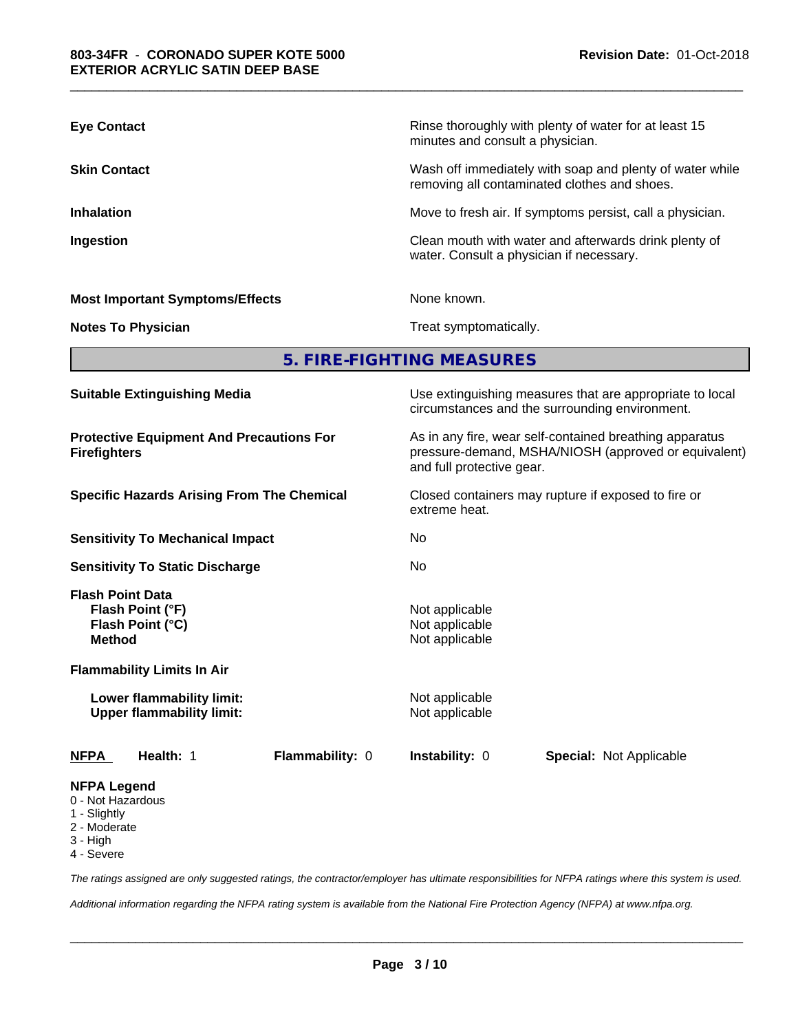| <b>Eye Contact</b>                     | Rinse thoroughly with plenty of water for at least 15<br>minutes and consult a physician.                |
|----------------------------------------|----------------------------------------------------------------------------------------------------------|
| <b>Skin Contact</b>                    | Wash off immediately with soap and plenty of water while<br>removing all contaminated clothes and shoes. |
| <b>Inhalation</b>                      | Move to fresh air. If symptoms persist, call a physician.                                                |
| Ingestion                              | Clean mouth with water and afterwards drink plenty of<br>water. Consult a physician if necessary.        |
| <b>Most Important Symptoms/Effects</b> | None known.                                                                                              |
| <b>Notes To Physician</b>              | Treat symptomatically.                                                                                   |

\_\_\_\_\_\_\_\_\_\_\_\_\_\_\_\_\_\_\_\_\_\_\_\_\_\_\_\_\_\_\_\_\_\_\_\_\_\_\_\_\_\_\_\_\_\_\_\_\_\_\_\_\_\_\_\_\_\_\_\_\_\_\_\_\_\_\_\_\_\_\_\_\_\_\_\_\_\_\_\_\_\_\_\_\_\_\_\_\_\_\_\_\_

# **5. FIRE-FIGHTING MEASURES**

| <b>NFPA Legend</b>                                                     |                        |                                                                                                                                              |                                |  |  |
|------------------------------------------------------------------------|------------------------|----------------------------------------------------------------------------------------------------------------------------------------------|--------------------------------|--|--|
| <b>NFPA</b><br><b>Health: 1</b>                                        | <b>Flammability: 0</b> | <b>Instability: 0</b>                                                                                                                        | <b>Special: Not Applicable</b> |  |  |
| Lower flammability limit:<br><b>Upper flammability limit:</b>          |                        | Not applicable<br>Not applicable                                                                                                             |                                |  |  |
| <b>Flammability Limits In Air</b>                                      |                        |                                                                                                                                              |                                |  |  |
| Flash Point (°F)<br>Flash Point (°C)<br><b>Method</b>                  |                        | Not applicable<br>Not applicable<br>Not applicable                                                                                           |                                |  |  |
| <b>Flash Point Data</b>                                                |                        |                                                                                                                                              |                                |  |  |
| <b>Sensitivity To Static Discharge</b>                                 |                        | No.                                                                                                                                          |                                |  |  |
| <b>Sensitivity To Mechanical Impact</b>                                |                        | No.                                                                                                                                          |                                |  |  |
| <b>Specific Hazards Arising From The Chemical</b>                      |                        | Closed containers may rupture if exposed to fire or<br>extreme heat.                                                                         |                                |  |  |
| <b>Protective Equipment And Precautions For</b><br><b>Firefighters</b> |                        | As in any fire, wear self-contained breathing apparatus<br>pressure-demand, MSHA/NIOSH (approved or equivalent)<br>and full protective gear. |                                |  |  |
| <b>Suitable Extinguishing Media</b>                                    |                        | Use extinguishing measures that are appropriate to local<br>circumstances and the surrounding environment.                                   |                                |  |  |

- 0 Not Hazardous
- 1 Slightly
- 2 Moderate
- 3 High
- 4 Severe

*The ratings assigned are only suggested ratings, the contractor/employer has ultimate responsibilities for NFPA ratings where this system is used.*

*Additional information regarding the NFPA rating system is available from the National Fire Protection Agency (NFPA) at www.nfpa.org.*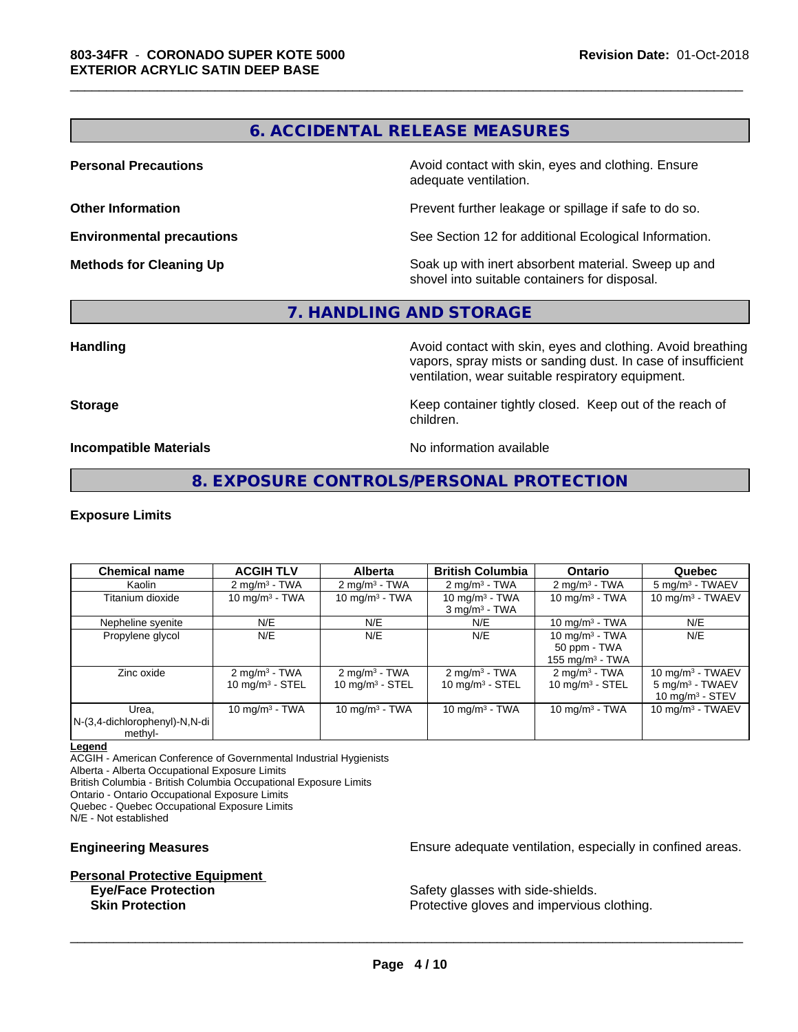# **6. ACCIDENTAL RELEASE MEASURES**

\_\_\_\_\_\_\_\_\_\_\_\_\_\_\_\_\_\_\_\_\_\_\_\_\_\_\_\_\_\_\_\_\_\_\_\_\_\_\_\_\_\_\_\_\_\_\_\_\_\_\_\_\_\_\_\_\_\_\_\_\_\_\_\_\_\_\_\_\_\_\_\_\_\_\_\_\_\_\_\_\_\_\_\_\_\_\_\_\_\_\_\_\_

**Personal Precautions Avoid contact with skin, eyes and clothing. Ensure** Avoid contact with skin, eyes and clothing. Ensure adequate ventilation.

**Other Information Other Information Prevent further leakage or spillage if safe to do so.** 

**Environmental precautions** See Section 12 for additional Ecological Information.

**Methods for Cleaning Up Soak** up with inert absorbent material. Sweep up and shovel into suitable containers for disposal.

# **7. HANDLING AND STORAGE**

**Handling Handling Avoid contact with skin, eyes and clothing. Avoid breathing** vapors, spray mists or sanding dust. In case of insufficient ventilation, wear suitable respiratory equipment.

**Storage Keep container tightly closed. Keep out of the reach of the reach of the reach of the reach of the reach of the reach of the reach of the reach of the reach of the reach of the reach of the reach of the reach of** children.

**Incompatible Materials** Noinformation available

# **8. EXPOSURE CONTROLS/PERSONAL PROTECTION**

### **Exposure Limits**

| <b>Chemical name</b>                              | <b>ACGIH TLV</b>                              | <b>Alberta</b>                                         | <b>British Columbia</b>                                   | <b>Ontario</b>                                          | Quebec                                                                  |
|---------------------------------------------------|-----------------------------------------------|--------------------------------------------------------|-----------------------------------------------------------|---------------------------------------------------------|-------------------------------------------------------------------------|
| Kaolin                                            | $2 \text{ mg/m}^3$ - TWA                      | $2 \text{ mg/m}^3$ - TWA                               | $2 \text{ mg/m}^3$ - TWA                                  | $2 \text{ mg/m}^3$ - TWA                                | 5 mg/m <sup>3</sup> - TWAEV                                             |
| Titanium dioxide                                  | 10 mg/m $3$ - TWA                             | 10 mg/m $3$ - TWA                                      | 10 mg/m $3$ - TWA<br>$3$ mg/m <sup>3</sup> - TWA          | 10 mg/m $3$ - TWA                                       | 10 mg/m $3$ - TWAEV                                                     |
| Nepheline syenite                                 | N/E                                           | N/E                                                    | N/E                                                       | 10 mg/m $3$ - TWA                                       | N/E                                                                     |
| Propylene glycol                                  | N/E                                           | N/E                                                    | N/E                                                       | 10 mg/m $3$ - TWA<br>50 ppm - TWA<br>155 mg/m $3$ - TWA | N/E                                                                     |
| Zinc oxide                                        | $2 \text{ mg/m}^3$ - TWA<br>10 $mq/m3$ - STEL | $2 \text{ mg/m}^3$ - TWA<br>$10 \text{ mg/m}^3$ - STEL | $2 \text{ mg/m}^3$ - TWA<br>$10$ mg/m <sup>3</sup> - STEL | $2 \text{ mg/m}^3$ - TWA<br>$10 \text{ mg/m}^3$ - STEL  | 10 mg/m $3$ - TWAEV<br>$5 \text{ mg/m}^3$ - TWAEV<br>10 mg/m $3 -$ STEV |
| Urea.<br>N-(3,4-dichlorophenyl)-N,N-di<br>methyl- | 10 mg/m $3$ - TWA                             | 10 mg/m $3 - TWA$                                      | 10 mg/m $3$ - TWA                                         | 10 mg/m $3$ - TWA                                       | 10 mg/m $3$ - TWAEV                                                     |

### **Legend**

ACGIH - American Conference of Governmental Industrial Hygienists

Alberta - Alberta Occupational Exposure Limits

British Columbia - British Columbia Occupational Exposure Limits

Ontario - Ontario Occupational Exposure Limits

Quebec - Quebec Occupational Exposure Limits

N/E - Not established

# **Personal Protective Equipment**<br> **Eve/Face Protection**

**Engineering Measures Engineering Measures Engineering Measures Ensure adequate ventilation, especially in confined areas.** 

Safety glasses with side-shields. **Skin Protection Protection Protective gloves and impervious clothing.**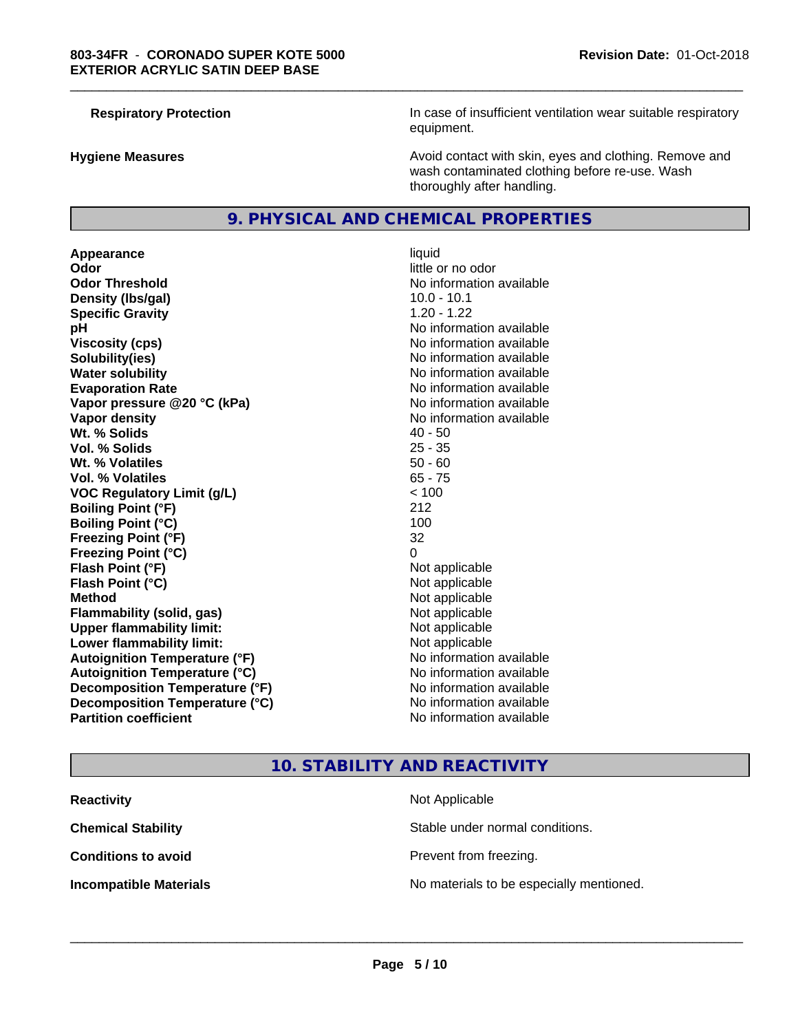**Respiratory Protection In case of insufficient ventilation wear suitable respiratory** equipment.

**Hygiene Measures Avoid contact with skin, eyes and clothing. Remove and Avoid contact with skin, eyes and clothing. Remove and Avoid contact with skin, eyes and clothing. Remove and** wash contaminated clothing before re-use. Wash thoroughly after handling.

### **9. PHYSICAL AND CHEMICAL PROPERTIES**

**Appearance** liquid **Odor** little or no odor **Odor Threshold No information available No information available Density (Ibs/gal)** 10.0 - 10.1 **Specific Gravity** 1.20 - 1.22 **pH** No information available **Viscosity (cps)** No information available **Solubility(ies)** No information available **Water solubility Water solubility Water solubility Water solubility Water solubility Water solution Evaporation Rate No information available No information available Vapor pressure @20 °C (kPa)** No information available **Vapor density No information available Wt. % Solids** 40 - 50 **Vol. % Solids** 25 - 35 **Wt. % Volatiles** 50 - 60 **Vol. % Volatiles** 65 - 75 **VOC Regulatory Limit (g/L)**  $\le$  100<br> **Boiling Point (°F)** 212 **Boiling Point (°F) Boiling Point (°C)** 100 **Freezing Point (°F)** 32 **Freezing Point (°C)** 0 **Flash Point (°F)** Not applicable **Flash Point (°C)** Not applicable **Method** Not applicable **Flammability (solid, gas)** Not applicable **Upper flammability limit:** Not applicable **Lower flammability limit:** Not applicable **Autoignition Temperature (°F)** No information available **Autoignition Temperature (°C)** No information available **Decomposition Temperature (°F)** No information available **Decomposition Temperature (°C)** No information available<br> **Partition coefficient Partition available** 

# **No information available**

\_\_\_\_\_\_\_\_\_\_\_\_\_\_\_\_\_\_\_\_\_\_\_\_\_\_\_\_\_\_\_\_\_\_\_\_\_\_\_\_\_\_\_\_\_\_\_\_\_\_\_\_\_\_\_\_\_\_\_\_\_\_\_\_\_\_\_\_\_\_\_\_\_\_\_\_\_\_\_\_\_\_\_\_\_\_\_\_\_\_\_\_\_

### **10. STABILITY AND REACTIVITY**

| <b>Reactivity</b>             | Not Applicable                           |
|-------------------------------|------------------------------------------|
| <b>Chemical Stability</b>     | Stable under normal conditions.          |
| <b>Conditions to avoid</b>    | Prevent from freezing.                   |
| <b>Incompatible Materials</b> | No materials to be especially mentioned. |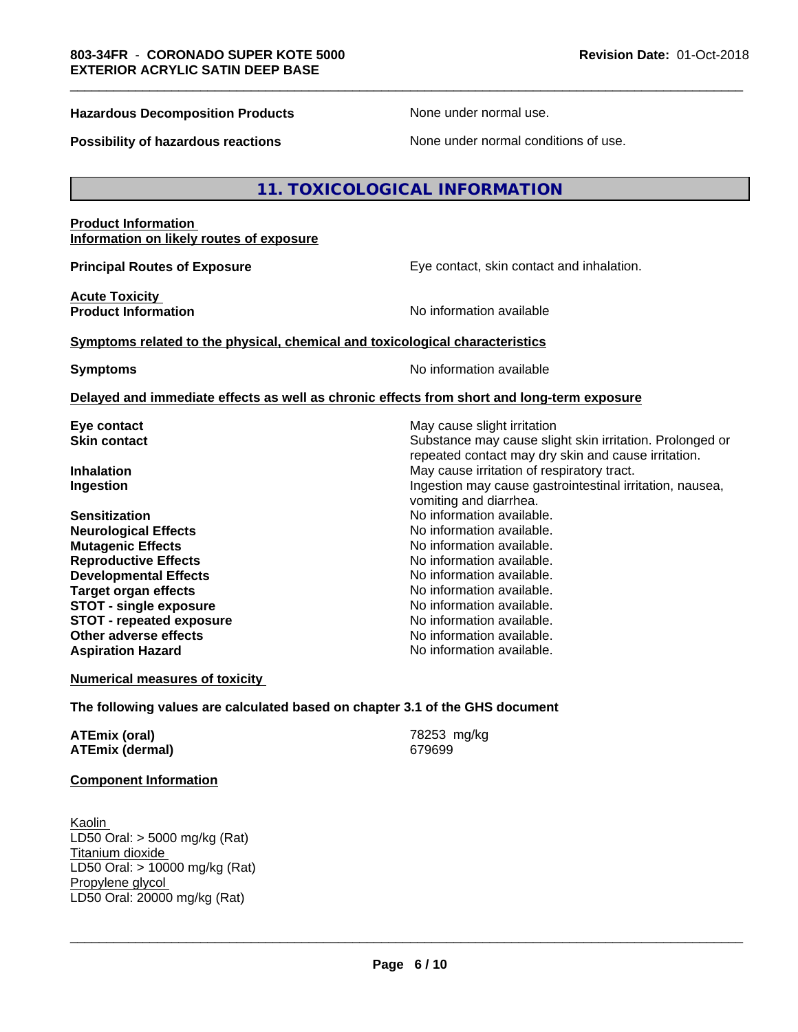### **Hazardous Decomposition Products** None under normal use.

\_\_\_\_\_\_\_\_\_\_\_\_\_\_\_\_\_\_\_\_\_\_\_\_\_\_\_\_\_\_\_\_\_\_\_\_\_\_\_\_\_\_\_\_\_\_\_\_\_\_\_\_\_\_\_\_\_\_\_\_\_\_\_\_\_\_\_\_\_\_\_\_\_\_\_\_\_\_\_\_\_\_\_\_\_\_\_\_\_\_\_\_\_

**Possibility of hazardous reactions** None under normal conditions of use.

### **11. TOXICOLOGICAL INFORMATION**

### **Product Information Information on likely routes of exposure**

**Principal Routes of Exposure Exposure** Eye contact, skin contact and inhalation.

**Acute Toxicity** 

**Product Information No information No information** available

### **Symptoms related to the physical,chemical and toxicological characteristics**

**Symptoms** No information available

### **Delayed and immediate effects as well as chronic effects from short and long-term exposure**

**Sensitization**<br> **No** information available.<br> **No** information available.<br>
No information available. **Neurological Effects Mutagenic Effects Mutagenic Effects No information available. Reproductive Effects**<br> **Reproductive Effects**<br> **Developmental Effects**<br> **No information available. Developmental Effects No information available.**<br> **Target organ effects No information available. Target organ effects STOT -** single exposure<br> **STOT -** repeated exposure<br>
No information available **STOT** - repeated exposure **Other adverse effects** No information available. **Aspiration Hazard No information available.** No information available.

**Eye contact** May cause slight irritation **Skin contact** Substance may cause slight skin irritation. Prolonged or repeated contact may dry skin and cause irritation. **Inhalation** May cause irritation of respiratory tract. **Ingestion Ingestion Ingestion may cause gastrointestinal irritation, nausea,** vomiting and diarrhea.

**Numerical measures of toxicity**

### **The following values are calculated based on chapter 3.1 of the GHS document**

| ATEmix (oral)          | 78253 mg/kg |
|------------------------|-------------|
| <b>ATEmix (dermal)</b> | 679699      |

### **Component Information**

Kaolin LD50 Oral: > 5000 mg/kg (Rat) Titanium dioxide LD50 Oral: > 10000 mg/kg (Rat) Propylene glycol \_\_\_\_\_\_\_\_\_\_\_\_\_\_\_\_\_\_\_\_\_\_\_\_\_\_\_\_\_\_\_\_\_\_\_\_\_\_\_\_\_\_\_\_\_\_\_\_\_\_\_\_\_\_\_\_\_\_\_\_\_\_\_\_\_\_\_\_\_\_\_\_\_\_\_\_\_\_\_\_\_\_\_\_\_\_\_\_\_\_\_\_\_ LD50 Oral: 20000 mg/kg (Rat)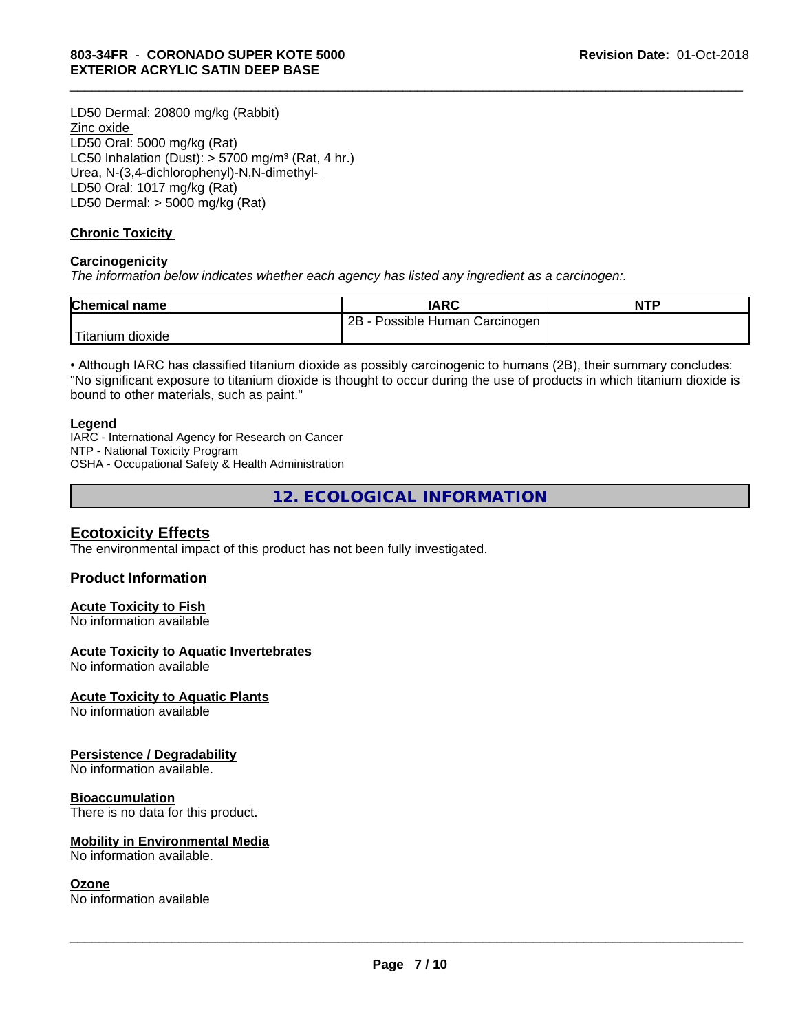LD50 Dermal: 20800 mg/kg (Rabbit) Zinc oxide LD50 Oral: 5000 mg/kg (Rat) LC50 Inhalation (Dust):  $> 5700$  mg/m<sup>3</sup> (Rat, 4 hr.) Urea, N-(3,4-dichlorophenyl)-N,N-dimethyl- LD50 Oral: 1017 mg/kg (Rat) LD50 Dermal: > 5000 mg/kg (Rat)

### **Chronic Toxicity**

### **Carcinogenicity**

*The information below indicateswhether each agency has listed any ingredient as a carcinogen:.*

| <b>Chemical name</b> | <b>IARC</b>                     | <b>NTP</b> |
|----------------------|---------------------------------|------------|
|                      | 2B<br>Possible Human Carcinogen |            |
| Titanium<br>dioxide  |                                 |            |

\_\_\_\_\_\_\_\_\_\_\_\_\_\_\_\_\_\_\_\_\_\_\_\_\_\_\_\_\_\_\_\_\_\_\_\_\_\_\_\_\_\_\_\_\_\_\_\_\_\_\_\_\_\_\_\_\_\_\_\_\_\_\_\_\_\_\_\_\_\_\_\_\_\_\_\_\_\_\_\_\_\_\_\_\_\_\_\_\_\_\_\_\_

• Although IARC has classified titanium dioxide as possibly carcinogenic to humans (2B), their summary concludes: "No significant exposure to titanium dioxide is thought to occur during the use of products in which titanium dioxide is bound to other materials, such as paint."

### **Legend**

IARC - International Agency for Research on Cancer NTP - National Toxicity Program OSHA - Occupational Safety & Health Administration

**12. ECOLOGICAL INFORMATION**

### **Ecotoxicity Effects**

The environmental impact of this product has not been fully investigated.

### **Product Information**

### **Acute Toxicity to Fish**

No information available

### **Acute Toxicity to Aquatic Invertebrates**

No information available

### **Acute Toxicity to Aquatic Plants**

No information available

### **Persistence / Degradability**

No information available.

### **Bioaccumulation**

There is no data for this product.

### **Mobility in Environmental Media**

No information available.

### **Ozone**

No information available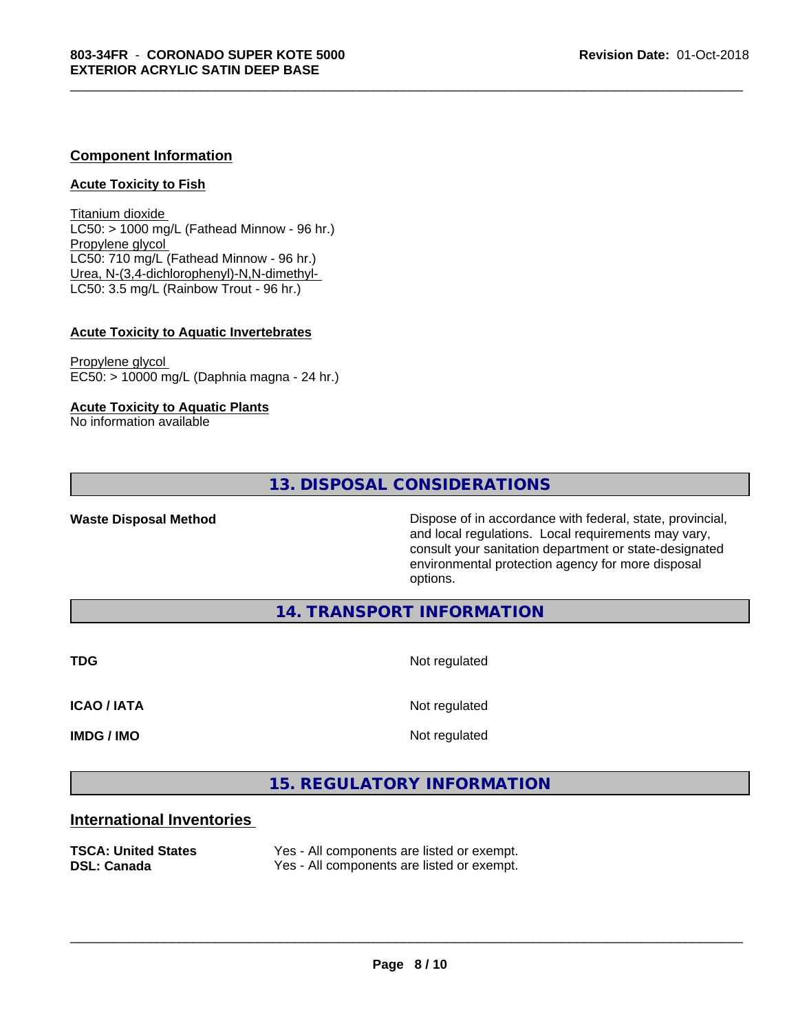### **Component Information**

### **Acute Toxicity to Fish**

Titanium dioxide  $LC50:$  > 1000 mg/L (Fathead Minnow - 96 hr.) Propylene glycol LC50: 710 mg/L (Fathead Minnow - 96 hr.) Urea, N-(3,4-dichlorophenyl)-N,N-dimethyl- LC50: 3.5 mg/L (Rainbow Trout - 96 hr.)

### **Acute Toxicity to Aquatic Invertebrates**

Propylene glycol EC50: > 10000 mg/L (Daphnia magna - 24 hr.)

### **Acute Toxicity to Aquatic Plants**

No information available

### **13. DISPOSAL CONSIDERATIONS**

**Waste Disposal Method Dispose of in accordance with federal, state, provincial,** and local regulations. Local requirements may vary, consult your sanitation department or state-designated environmental protection agency for more disposal options.

**14. TRANSPORT INFORMATION**

**TDG** Not regulated

\_\_\_\_\_\_\_\_\_\_\_\_\_\_\_\_\_\_\_\_\_\_\_\_\_\_\_\_\_\_\_\_\_\_\_\_\_\_\_\_\_\_\_\_\_\_\_\_\_\_\_\_\_\_\_\_\_\_\_\_\_\_\_\_\_\_\_\_\_\_\_\_\_\_\_\_\_\_\_\_\_\_\_\_\_\_\_\_\_\_\_\_\_

**ICAO / IATA** Not regulated

**IMDG / IMO** Not regulated

 $\overline{\phantom{a}}$  ,  $\overline{\phantom{a}}$  ,  $\overline{\phantom{a}}$  ,  $\overline{\phantom{a}}$  ,  $\overline{\phantom{a}}$  ,  $\overline{\phantom{a}}$  ,  $\overline{\phantom{a}}$  ,  $\overline{\phantom{a}}$  ,  $\overline{\phantom{a}}$  ,  $\overline{\phantom{a}}$  ,  $\overline{\phantom{a}}$  ,  $\overline{\phantom{a}}$  ,  $\overline{\phantom{a}}$  ,  $\overline{\phantom{a}}$  ,  $\overline{\phantom{a}}$  ,  $\overline{\phantom{a}}$ 

### **15. REGULATORY INFORMATION**

### **International Inventories**

| <b>TSCA: United States</b> | Yes - All components are listed or exempt. |
|----------------------------|--------------------------------------------|
| <b>DSL: Canada</b>         | Yes - All components are listed or exempt. |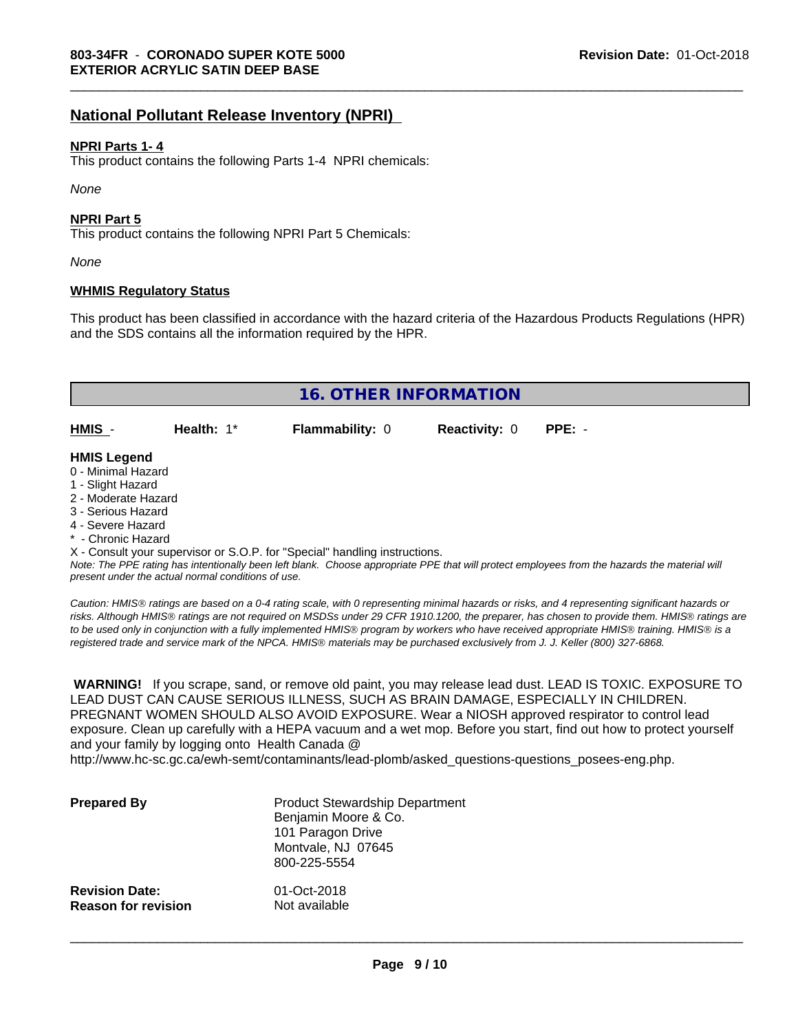### **National Pollutant Release Inventory (NPRI)**

### **NPRI Parts 1- 4**

This product contains the following Parts 1-4 NPRI chemicals:

*None*

### **NPRI Part 5**

This product contains the following NPRI Part 5 Chemicals:

*None*

### **WHMIS Regulatory Status**

This product has been classified in accordance with the hazard criteria of the Hazardous Products Regulations (HPR) and the SDS contains all the information required by the HPR.

\_\_\_\_\_\_\_\_\_\_\_\_\_\_\_\_\_\_\_\_\_\_\_\_\_\_\_\_\_\_\_\_\_\_\_\_\_\_\_\_\_\_\_\_\_\_\_\_\_\_\_\_\_\_\_\_\_\_\_\_\_\_\_\_\_\_\_\_\_\_\_\_\_\_\_\_\_\_\_\_\_\_\_\_\_\_\_\_\_\_\_\_\_

| <b>16. OTHER INFORMATION</b>                                                                                                                          |                                                    |                                                                            |                      |                                                                                                                                               |
|-------------------------------------------------------------------------------------------------------------------------------------------------------|----------------------------------------------------|----------------------------------------------------------------------------|----------------------|-----------------------------------------------------------------------------------------------------------------------------------------------|
| HMIS -                                                                                                                                                | Health: $1*$                                       | <b>Flammability: 0</b>                                                     | <b>Reactivity: 0</b> | $PPE: -$                                                                                                                                      |
| <b>HMIS Legend</b><br>0 - Minimal Hazard<br>1 - Slight Hazard<br>2 - Moderate Hazard<br>3 - Serious Hazard<br>4 - Severe Hazard<br>* - Chronic Hazard | present under the actual normal conditions of use. | X - Consult your supervisor or S.O.P. for "Special" handling instructions. |                      | Note: The PPE rating has intentionally been left blank. Choose appropriate PPE that will protect employees from the hazards the material will |

*Caution: HMISÒ ratings are based on a 0-4 rating scale, with 0 representing minimal hazards or risks, and 4 representing significant hazards or risks. Although HMISÒ ratings are not required on MSDSs under 29 CFR 1910.1200, the preparer, has chosen to provide them. HMISÒ ratings are to be used only in conjunction with a fully implemented HMISÒ program by workers who have received appropriate HMISÒ training. HMISÒ is a registered trade and service mark of the NPCA. HMISÒ materials may be purchased exclusively from J. J. Keller (800) 327-6868.*

 **WARNING!** If you scrape, sand, or remove old paint, you may release lead dust. LEAD IS TOXIC. EXPOSURE TO LEAD DUST CAN CAUSE SERIOUS ILLNESS, SUCH AS BRAIN DAMAGE, ESPECIALLY IN CHILDREN. PREGNANT WOMEN SHOULD ALSO AVOID EXPOSURE.Wear a NIOSH approved respirator to control lead exposure. Clean up carefully with a HEPA vacuum and a wet mop. Before you start, find out how to protect yourself and your family by logging onto Health Canada @

http://www.hc-sc.gc.ca/ewh-semt/contaminants/lead-plomb/asked\_questions-questions\_posees-eng.php.

| <b>Prepared By</b>         | <b>Product Stewardship Department</b><br>Benjamin Moore & Co.<br>101 Paragon Drive<br>Montvale, NJ 07645<br>800-225-5554 |
|----------------------------|--------------------------------------------------------------------------------------------------------------------------|
| <b>Revision Date:</b>      | 01-Oct-2018                                                                                                              |
| <b>Reason for revision</b> | Not available                                                                                                            |